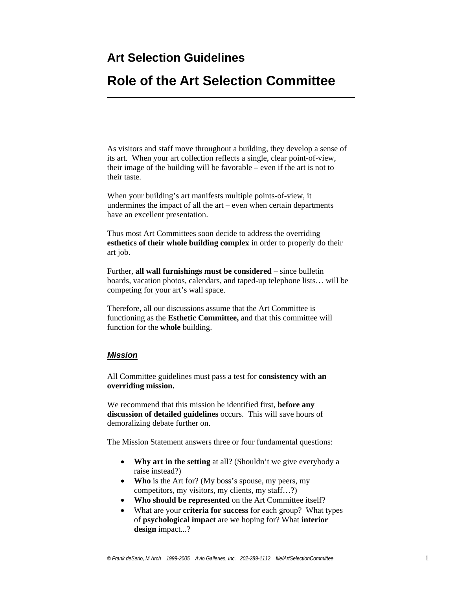# **Art Selection Guidelines**

# **Role of the Art Selection Committee**

As visitors and staff move throughout a building, they develop a sense of its art. When your art collection reflects a single, clear point-of-view, their image of the building will be favorable – even if the art is not to their taste.

When your building's art manifests multiple points-of-view, it undermines the impact of all the art – even when certain departments have an excellent presentation.

Thus most Art Committees soon decide to address the overriding **esthetics of their whole building complex** in order to properly do their art job.

Further, **all wall furnishings must be considered** – since bulletin boards, vacation photos, calendars, and taped-up telephone lists… will be competing for your art's wall space.

Therefore, all our discussions assume that the Art Committee is functioning as the **Esthetic Committee,** and that this committee will function for the **whole** building.

### *Mission*

All Committee guidelines must pass a test for **consistency with an overriding mission.** 

We recommend that this mission be identified first, **before any discussion of detailed guidelines** occurs. This will save hours of demoralizing debate further on.

The Mission Statement answers three or four fundamental questions:

- **Why art in the setting** at all? (Shouldn't we give everybody a raise instead?)
- **Who** is the Art for? (My boss's spouse, my peers, my competitors, my visitors, my clients, my staff…?)
- **Who should be represented** on the Art Committee itself?
- What are your **criteria for success** for each group? What types of **psychological impact** are we hoping for? What **interior design** impact...?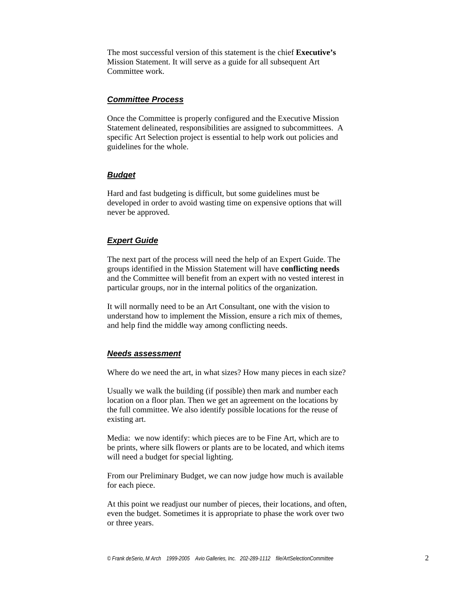The most successful version of this statement is the chief **Executive's** Mission Statement. It will serve as a guide for all subsequent Art Committee work.

#### *Committee Process*

Once the Committee is properly configured and the Executive Mission Statement delineated, responsibilities are assigned to subcommittees. A specific Art Selection project is essential to help work out policies and guidelines for the whole.

#### *Budget*

Hard and fast budgeting is difficult, but some guidelines must be developed in order to avoid wasting time on expensive options that will never be approved.

#### *Expert Guide*

The next part of the process will need the help of an Expert Guide. The groups identified in the Mission Statement will have **conflicting needs** and the Committee will benefit from an expert with no vested interest in particular groups, nor in the internal politics of the organization.

It will normally need to be an Art Consultant, one with the vision to understand how to implement the Mission, ensure a rich mix of themes, and help find the middle way among conflicting needs.

#### *Needs assessment*

Where do we need the art, in what sizes? How many pieces in each size?

Usually we walk the building (if possible) then mark and number each location on a floor plan. Then we get an agreement on the locations by the full committee. We also identify possible locations for the reuse of existing art.

Media: we now identify: which pieces are to be Fine Art, which are to be prints, where silk flowers or plants are to be located, and which items will need a budget for special lighting.

From our Preliminary Budget, we can now judge how much is available for each piece.

At this point we readjust our number of pieces, their locations, and often, even the budget. Sometimes it is appropriate to phase the work over two or three years.